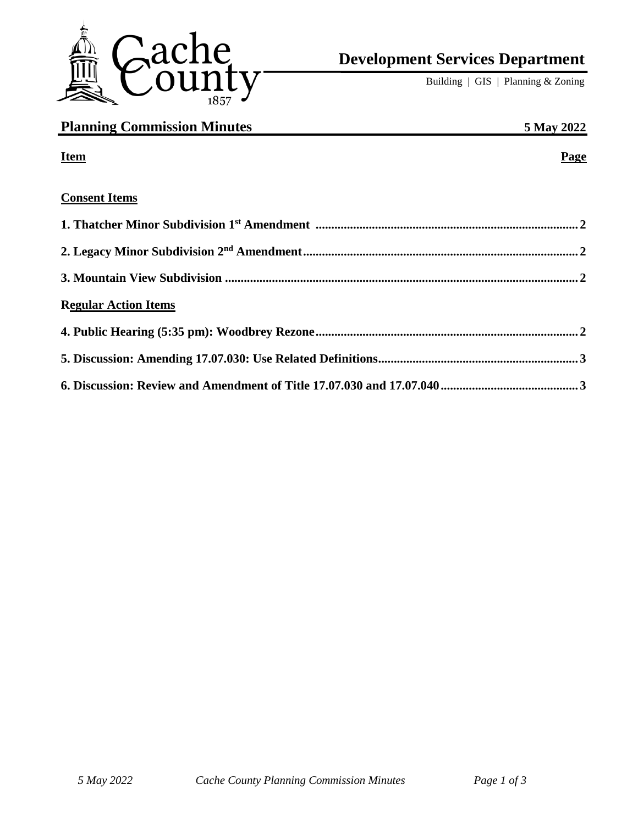

# **Development Services Department**

Building | GIS | Planning & Zoning

| <b>Planning Commission Minutes</b> | 5 May 2022 |
|------------------------------------|------------|
| <b>Item</b>                        | Page       |
| <b>Consent Items</b>               |            |
|                                    |            |
|                                    |            |
|                                    |            |
| <b>Regular Action Items</b>        |            |
|                                    |            |
|                                    |            |
|                                    |            |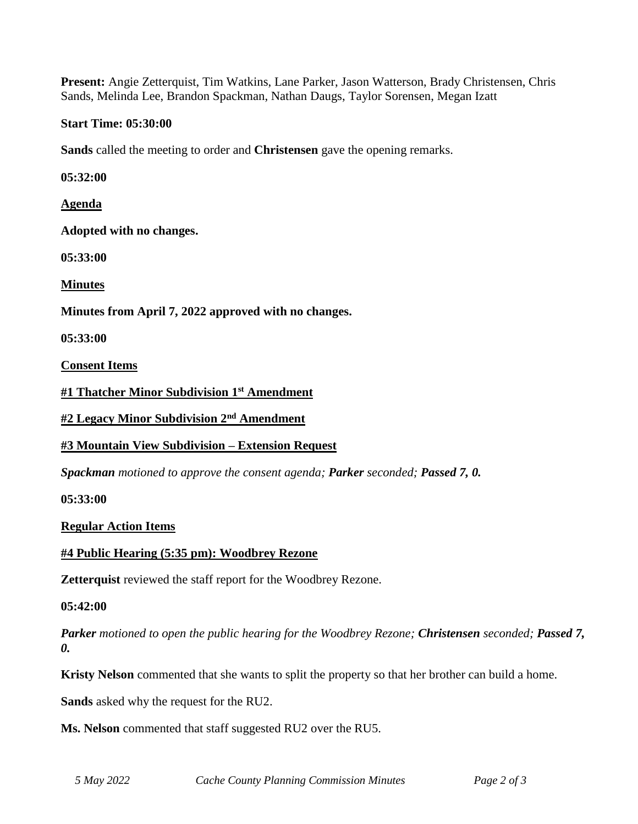**Present:** Angie Zetterquist, Tim Watkins, Lane Parker, Jason Watterson, Brady Christensen, Chris Sands, Melinda Lee, Brandon Spackman, Nathan Daugs, Taylor Sorensen, Megan Izatt

#### **Start Time: 05:30:00**

**Sands** called the meeting to order and **Christensen** gave the opening remarks.

**05:32:00**

**Agenda**

**Adopted with no changes.**

**05:33:00**

**Minutes**

**Minutes from April 7, 2022 approved with no changes.**

**05:33:00**

**Consent Items**

**#1 Thatcher Minor Subdivision 1st Amendment**

**#2 Legacy Minor Subdivision 2nd Amendment**

## **#3 Mountain View Subdivision – Extension Request**

*Spackman motioned to approve the consent agenda; Parker seconded; Passed 7, 0.*

**05:33:00**

**Regular Action Items**

**#4 Public Hearing (5:35 pm): Woodbrey Rezone**

**Zetterquist** reviewed the staff report for the Woodbrey Rezone.

**05:42:00**

*Parker motioned to open the public hearing for the Woodbrey Rezone; Christensen seconded; Passed 7, 0.*

**Kristy Nelson** commented that she wants to split the property so that her brother can build a home.

**Sands** asked why the request for the RU2.

**Ms. Nelson** commented that staff suggested RU2 over the RU5.